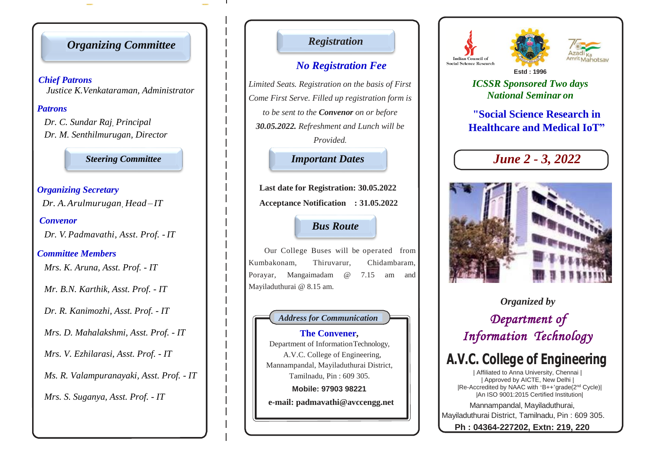# *Organizing Committee*

 *Chief Patrons Justice K.Venkataraman, Administrator*

### *Patrons*

*Dr. C. Sundar Raj, Principal Dr. M. Senthilmurugan, Director* 

*Steering Committee*

# *Organizing Secretary*

 *Dr. A.Arulmurugan, Head – IT*

### *Convenor*

*Dr. V. Padmavathi, Asst. Prof. - IT*

### *Committee Members*

*Mrs. K. Aruna, Asst. Prof. - IT*

*Mr. B.N. Karthik, Asst. Prof. - IT*

*Dr. R. Kanimozhi, Asst. Prof. - IT*

*Mrs. D. Mahalakshmi, Asst. Prof. - IT*

*Mrs. V. Ezhilarasi, Asst. Prof. - IT*

*Ms. R. Valampuranayaki, Asst. Prof. - IT*

*Mrs. S. Suganya, Asst. Prof. - IT*

## *Registration*

# *No Registration Fee*

*Limited Seats. Registration on the basis of First Come First Serve. Filled up registration form is to be sent to the Convenor on or before 30.05.2022. Refreshment and Lunch will be Provided.*

### *Important Dates Route*

**Last date for Registration: 30.05.2022 Acceptance Notification : 31.05.2022**

## *Bus Route*

Our College Buses will be operated from Kumbakonam, Thiruvarur, Chidambaram, Porayar, Mangaimadam @ 7.15 am and Mayiladuthurai @ 8.15 am.

### *Address for Communication*

**The Convener,** Department of InformationTechnology, A.V.C. College of Engineering, Mannampandal, Mayiladuthurai District, Tamilnadu, Pin : 609 305. **Mobile: 97903 98221 e-mail: padmavathi@avccengg.net**





*ICSSR Sponsored Two days National Seminar on*

**"Social Science Research in Healthcare and Medical IoT"**





*Organized by Department of Information Technology* 

# **A.V.C. College of Engineering**

| Affiliated to Anna University, Chennai | | Approved by AICTE, New Delhi | |Re-Accredited by NAAC with 'B++'grade(2nd Cycle)| |An ISO 9001:2015 Certified Institution|

Mannampandal, Mayiladuthurai, Mayiladuthurai District, Tamilnadu, Pin : 609 305.

**Ph : 04364-227202, Extn: 219, 220**